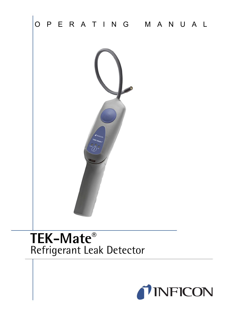

# **TEK-Mate®** Refrigerant Leak Detector

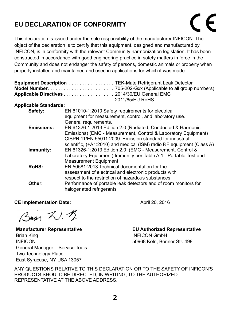#### **EU DECLARATION OF CONFORMITY**

This declaration is issued under the sole responsibility of the manufacturer INFICON. The object of the declaration is to certify that this equipment, designed and manufactured by INFICON, is in conformity with the relevant Community harmonization legislation. It has been constructed in accordance with good engineering practice in safety matters in force in the Community and does not endanger the safety of persons, domestic animals or property when properly installed and maintained and used in applications for which it was made.

|                              | <b>Equipment Description</b> TEK-Mate Refrigerant Leak Detector<br>Applicable Directives 2014/30/EU General EMC<br>2011/65/EU RoHS                                                                                                                                 |
|------------------------------|--------------------------------------------------------------------------------------------------------------------------------------------------------------------------------------------------------------------------------------------------------------------|
| <b>Applicable Standards:</b> |                                                                                                                                                                                                                                                                    |
| Safety:                      | EN 61010-1:2010 Safety requirements for electrical<br>equipment for measurement, control, and laboratory use.<br>General requirements.                                                                                                                             |
| <b>Emissions:</b>            | EN 61326-1:2013 Edition 2.0 (Radiated, Conducted & Harmonic<br>Emissions) (EMC - Measurement, Control & Laboratory Equipment)<br>CISPR 11/EN 55011:2009 Emission standard for industrial.<br>scientific, (+A1:2010) and medical (ISM) radio RF equipment (Class A) |
| Immunity:                    | EN 61326-1:2013 Edition 2.0 (EMC - Measurement, Control &<br>Laboratory Equipment) Immunity per Table A.1 - Portable Test and<br>Measurement Equipment                                                                                                             |
| RollS:                       | EN 50581:2013 Technical documentation for the<br>assessment of electrical and electronic products with<br>respect to the restriction of hazardous substances                                                                                                       |
| Other:                       | Performance of portable leak detectors and of room monitors for<br>halogenated refrigerants                                                                                                                                                                        |

#### **CE Implementation Date:** April 20, 2016

Bran W. 12

**Manufacturer Representative** Brian King INFICON General Manager – Service Tools Two Technology Place East Syracuse, NY USA 13057

**EU Authorized Representative** INFICON GmbH 50968 Köln, Bonner Str. 498

ANY QUESTIONS RELATIVE TO THIS DECLARATION OR TO THE SAFETY OF INFICON'S PRODUCTS SHOULD BE DIRECTED, IN WRITING, TO THE AUTHORIZED REPRESENTATIVE AT THE ABOVE ADDRESS.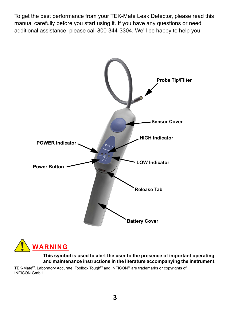To get the best performance from your TEK-Mate Leak Detector, please read this manual carefully before you start using it. If you have any questions or need additional assistance, please call 800-344-3304. We'll be happy to help you.





**This symbol is used to alert the user to the presence of important operating and maintenance instructions in the literature accompanying the instrument.**

TEK-Mate®, Laboratory Accurate, Toolbox Tough® and INFICON® are trademarks or copyrights of INFICON GmbH.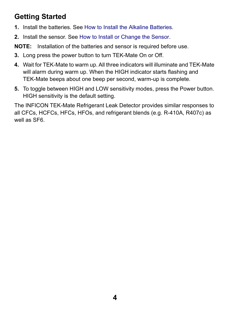### **Getting Started**

- **1.** Install the batteries. See [How to Install the Alkaline Batteries](#page-4-0).
- **2.** Install the sensor. See [How to Install or Change the Sensor.](#page-5-0)

**NOTE:** Installation of the batteries and sensor is required before use.

- **3.** Long press the power button to turn TEK-Mate On or Off.
- **4.** Wait for TEK-Mate to warm up. All three indicators will illuminate and TEK-Mate will alarm during warm up. When the HIGH indicator starts flashing and TEK-Mate beeps about one beep per second, warm-up is complete.
- **5.** To toggle between HIGH and LOW sensitivity modes, press the Power button. HIGH sensitivity is the default setting.

The INFICON TEK-Mate Refrigerant Leak Detector provides similar responses to all CFCs, HCFCs, HFCs, HFOs, and refrigerant blends (e.g. R-410A, R407c) as well as SF6.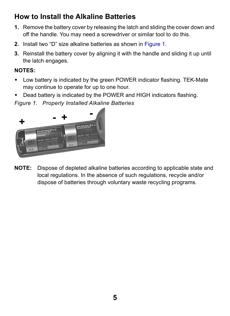### <span id="page-4-0"></span>**How to Install the Alkaline Batteries**

- **1.** Remove the battery cover by releasing the latch and sliding the cover down and off the handle. You may need a screwdriver or similar tool to do this.
- **2.** Install two "D" size alkaline batteries as shown in [Figure 1.](#page-4-1)
- **3.** Reinstall the battery cover by aligning it with the handle and sliding it up until the latch engages.

#### **NOTES:**

- Low battery is indicated by the green POWER indicator flashing. TEK-Mate may continue to operate for up to one hour.
- Dead battery is indicated by the POWER and HIGH indicators flashing.

<span id="page-4-1"></span>*Figure 1. Properly Installed Alkaline Batteries*



**NOTE:** Dispose of depleted alkaline batteries according to applicable state and local regulations. In the absence of such regulations, recycle and/or dispose of batteries through voluntary waste recycling programs.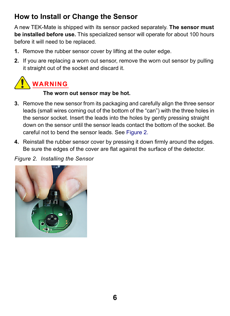### <span id="page-5-0"></span>**How to Install or Change the Sensor**

A new TEK-Mate is shipped with its sensor packed separately. **The sensor must be installed before use.** This specialized sensor will operate for about 100 hours before it will need to be replaced.

- **1.** Remove the rubber sensor cover by lifting at the outer edge.
- **2.** If you are replacing a worn out sensor, remove the worn out sensor by pulling it straight out of the socket and discard it.



#### **The worn out sensor may be hot.**

- **3.** Remove the new sensor from its packaging and carefully align the three sensor leads (small wires coming out of the bottom of the "can") with the three holes in the sensor socket. Insert the leads into the holes by gently pressing straight down on the sensor until the sensor leads contact the bottom of the socket. Be careful not to bend the sensor leads. See [Figure 2.](#page-5-1)
- <span id="page-5-2"></span>**4.** Reinstall the rubber sensor cover by pressing it down firmly around the edges. Be sure the edges of the cover are flat against the surface of the detector.

<span id="page-5-1"></span>*Figure 2. Installing the Sensor*

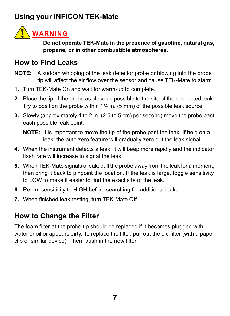### **Using your INFICON TEK-Mate**



**Do not operate TEK-Mate in the presence of gasoline, natural gas, propane, or in other combustible atmospheres.**

#### **How to Find Leaks**

- **NOTE:** A sudden whipping of the leak detector probe or blowing into the probe tip will affect the air flow over the sensor and cause TEK-Mate to alarm.
- **1.** Turn TEK-Mate On and wait for warm-up to complete.
- **2.** Place the tip of the probe as close as possible to the site of the suspected leak. Try to position the probe within 1/4 in. (5 mm) of the possible leak source.
- **3.** Slowly (approximately 1 to 2 in. (2.5 to 5 cm) per second) move the probe past each possible leak point.

**NOTE:** It is important to move the tip of the probe past the leak. If held on a leak, the auto zero feature will gradually zero out the leak signal.

- **4.** When the instrument detects a leak, it will beep more rapidly and the indicator flash rate will increase to signal the leak.
- **5.** When TEK-Mate signals a leak, pull the probe away from the leak for a moment, then bring it back to pinpoint the location. If the leak is large, toggle sensitivity to LOW to make it easier to find the exact site of the leak.
- **6.** Return sensitivity to HIGH before searching for additional leaks.
- **7.** When finished leak-testing, turn TEK-Mate Off.

### <span id="page-6-0"></span>**How to Change the Filter**

The foam filter at the probe tip should be replaced if it becomes plugged with water or oil or appears dirty. To replace the filter, pull out the old filter (with a paper clip or similar device). Then, push in the new filter.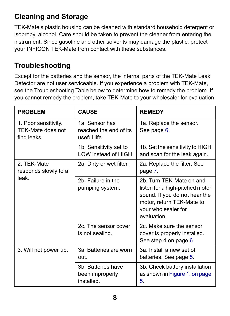# **Cleaning and Storage**

TEK-Mate's plastic housing can be cleaned with standard household detergent or isopropyl alcohol. Care should be taken to prevent the cleaner from entering the instrument. Since gasoline and other solvents may damage the plastic, protect your INFICON TEK-Mate from contact with these substances.

### **Troubleshooting**

Except for the batteries and the sensor, the internal parts of the TEK-Mate Leak Detector are not user serviceable. If you experience a problem with TEK-Mate, see the Troubleshooting Table below to determine how to remedy the problem. If you cannot remedy the problem, take TEK-Mate to your wholesaler for evaluation.

| <b>PROBLEM</b>                                           | <b>CAUSE</b>                                             | <b>REMEDY</b>                                                                                                                                                  |
|----------------------------------------------------------|----------------------------------------------------------|----------------------------------------------------------------------------------------------------------------------------------------------------------------|
| 1. Poor sensitivity.<br>TFK-Mate does not<br>find leaks. | 1a. Sensor has<br>reached the end of its<br>useful life. | 1a. Replace the sensor.<br>See page 6.                                                                                                                         |
|                                                          | 1b. Sensitivity set to<br>LOW instead of HIGH            | 1b. Set the sensitivity to HIGH<br>and scan for the leak again.                                                                                                |
| 2. TEK-Mate<br>responds slowly to a<br>leak              | 2a. Dirty or wet filter.                                 | 2a. Replace the filter. See<br>page 7.                                                                                                                         |
|                                                          | 2b. Failure in the<br>pumping system.                    | 2b. Turn TEK-Mate on and<br>listen for a high-pitched motor<br>sound. If you do not hear the<br>motor, return TEK-Mate to<br>your wholesaler for<br>evaluation |
|                                                          | 2c. The sensor cover<br>is not sealing.                  | 2c. Make sure the sensor<br>cover is properly installed.<br>See step 4 on page 6.                                                                              |
| 3. Will not power up.                                    | 3a. Batteries are worn<br>nun                            | 3a Install a new set of<br>batteries. See page 5.                                                                                                              |
|                                                          | 3b. Batteries have<br>been improperly<br>installed.      | 3b. Check battery installation<br>as shown in Figure 1. on page<br>5.                                                                                          |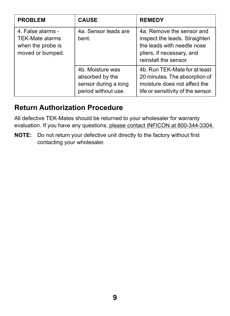| <b>PROBLEM</b>                                                                       | <b>CAUSE</b>                                                                       | <b>REMEDY</b>                                                                                                                                  |
|--------------------------------------------------------------------------------------|------------------------------------------------------------------------------------|------------------------------------------------------------------------------------------------------------------------------------------------|
| 4. False alarms -<br><b>TEK-Mate alarms</b><br>when the probe is<br>moved or bumped. | 4a. Sensor leads are<br>bent.                                                      | 4a. Remove the sensor and<br>inspect the leads. Straighten<br>the leads with needle nose<br>pliers, if necessary, and<br>reinstall the sensor. |
|                                                                                      | 4b. Moisture was<br>absorbed by the<br>sensor during a long<br>period without use. | 4b. Run TEK-Mate for at least<br>20 minutes. The absorption of<br>moisture does not affect the<br>life or sensitivity of the sensor.           |

### **Return Authorization Procedure**

All defective TEK-Mates should be returned to your wholesaler for warranty evaluation. If you have any questions, please contact INFICON at 800-344-3304.

**NOTE:** Do not return your defective unit directly to the factory without first contacting your wholesaler.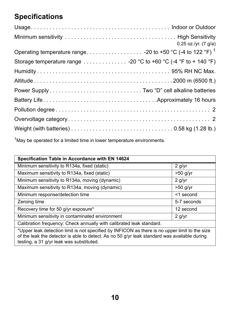# **Specifications**

|                                                                                                                           | $0.25$ oz./yr. (7 g/a) |
|---------------------------------------------------------------------------------------------------------------------------|------------------------|
|                                                                                                                           |                        |
| Storage temperature range -20 °C to +60 °C (-4 °F to + 140 °F)                                                            |                        |
|                                                                                                                           |                        |
|                                                                                                                           |                        |
|                                                                                                                           |                        |
|                                                                                                                           |                        |
|                                                                                                                           |                        |
|                                                                                                                           |                        |
| Weight (with batteries) $\ldots \ldots \ldots \ldots \ldots \ldots \ldots \ldots \ldots \ldots \ldots 0.58$ kg (1.28 lb.) |                        |

<sup>1</sup>May be operated for a limited time in lower temperature environments.

| Specification Table in Accordance with EN 14624                                                |             |  |
|------------------------------------------------------------------------------------------------|-------------|--|
| Minimum sensitivity to R134a, fixed (static)                                                   | $2$ g/yr    |  |
| Maximum sensitivity to R134a, fixed (static)                                                   | >50 g/yr    |  |
| Minimum sensitivity to R134a, moving (dynamic)                                                 | 2 q/yr      |  |
| Maximum sensitivity to R134a, moving (dynamic)                                                 | $>50$ g/yr  |  |
| Minimum response/detection time                                                                | <1 second   |  |
| Zeroing time                                                                                   | 5-7 seconds |  |
| Recovery time for 50 g/yr exposure*                                                            | 12 second   |  |
| Minimum sensitivity in contaminated environment                                                | $2$ g/yr    |  |
| Calibration frequency: Check annually with calibrated leak standard.                           |             |  |
| *Hannelank detasting ligjit in pat anasifiad bu INEICON na thaga in pauspan ligjit ta tha siwa |             |  |

\*Upper leak detection limit is not specified by INFICON as there is no upper limit to the size of the leak the detector is able to detect. As no 50 g/yr leak standard was available during testing, a 31 g/yr leak was substituted.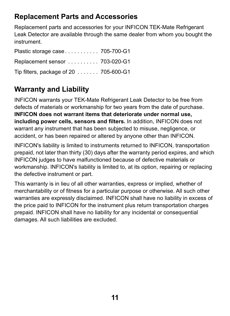### **Replacement Parts and Accessories**

Replacement parts and accessories for your INFICON TEK-Mate Refrigerant Leak Detector are available through the same dealer from whom you bought the instrument.

| Plastic storage case 705-700-G1         |  |
|-----------------------------------------|--|
| Replacement sensor  703-020-G1          |  |
| Tip filters, package of $20$ 705-600-G1 |  |

# **Warranty and Liability**

INFICON warrants your TEK-Mate Refrigerant Leak Detector to be free from defects of materials or workmanship for two years from the date of purchase. **INFICON does not warrant items that deteriorate under normal use, including power cells, sensors and filters.** In addition, INFICON does not warrant any instrument that has been subjected to misuse, negligence, or accident, or has been repaired or altered by anyone other than INFICON.

INFICON's liability is limited to instruments returned to INFICON, transportation prepaid, not later than thirty (30) days after the warranty period expires, and which INFICON judges to have malfunctioned because of defective materials or workmanship. INFICON's liability is limited to, at its option, repairing or replacing the defective instrument or part.

This warranty is in lieu of all other warranties, express or implied, whether of merchantability or of fitness for a particular purpose or otherwise. All such other warranties are expressly disclaimed. INFICON shall have no liability in excess of the price paid to INFICON for the instrument plus return transportation charges prepaid. INFICON shall have no liability for any incidental or consequential damages. All such liabilities are excluded.